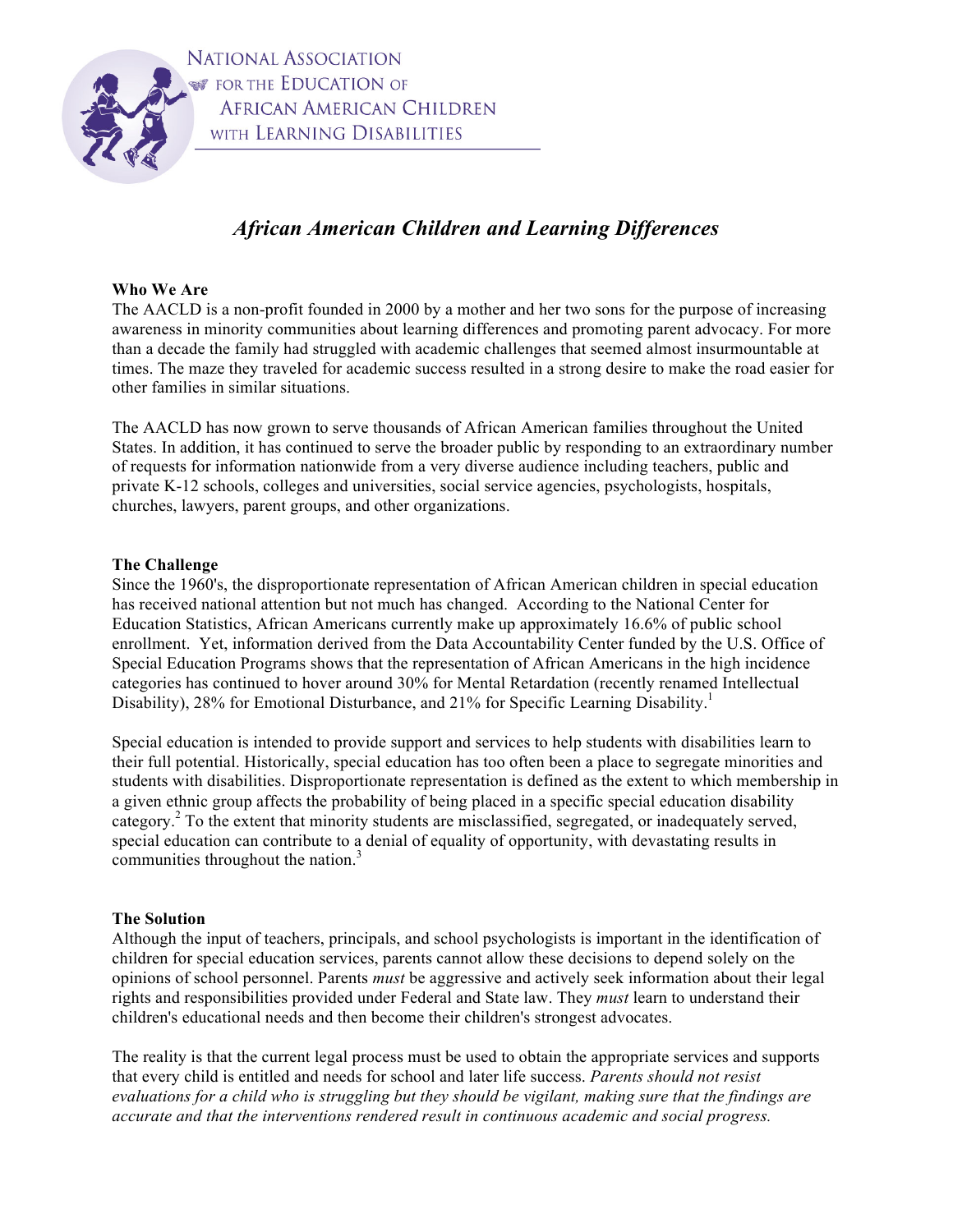

NATIONAL ASSOCIATION *S* FOR THE EDUCATION OF **AFRICAN AMERICAN CHILDREN** WITH LEARNING DISABILITIES

# *African American Children and Learning Differences*

# **Who We Are**

The AACLD is a non-profit founded in 2000 by a mother and her two sons for the purpose of increasing awareness in minority communities about learning differences and promoting parent advocacy. For more than a decade the family had struggled with academic challenges that seemed almost insurmountable at times. The maze they traveled for academic success resulted in a strong desire to make the road easier for other families in similar situations.

The AACLD has now grown to serve thousands of African American families throughout the United States. In addition, it has continued to serve the broader public by responding to an extraordinary number of requests for information nationwide from a very diverse audience including teachers, public and private K-12 schools, colleges and universities, social service agencies, psychologists, hospitals, churches, lawyers, parent groups, and other organizations.

# **The Challenge**

Since the 1960's, the disproportionate representation of African American children in special education has received national attention but not much has changed. According to the National Center for Education Statistics, African Americans currently make up approximately 16.6% of public school enrollment. Yet, information derived from the Data Accountability Center funded by the U.S. Office of Special Education Programs shows that the representation of African Americans in the high incidence categories has continued to hover around 30% for Mental Retardation (recently renamed Intellectual Disability), 28% for Emotional Disturbance, and 21% for Specific Learning Disability.<sup>1</sup>

Special education is intended to provide support and services to help students with disabilities learn to their full potential. Historically, special education has too often been a place to segregate minorities and students with disabilities. Disproportionate representation is defined as the extent to which membership in a given ethnic group affects the probability of being placed in a specific special education disability category.<sup>2</sup> To the extent that minority students are misclassified, segregated, or inadequately served, special education can contribute to a denial of equality of opportunity, with devastating results in communities throughout the nation.<sup>3</sup>

## **The Solution**

Although the input of teachers, principals, and school psychologists is important in the identification of children for special education services, parents cannot allow these decisions to depend solely on the opinions of school personnel. Parents *must* be aggressive and actively seek information about their legal rights and responsibilities provided under Federal and State law. They *must* learn to understand their children's educational needs and then become their children's strongest advocates.

The reality is that the current legal process must be used to obtain the appropriate services and supports that every child is entitled and needs for school and later life success. *Parents should not resist evaluations for a child who is struggling but they should be vigilant, making sure that the findings are accurate and that the interventions rendered result in continuous academic and social progress.*